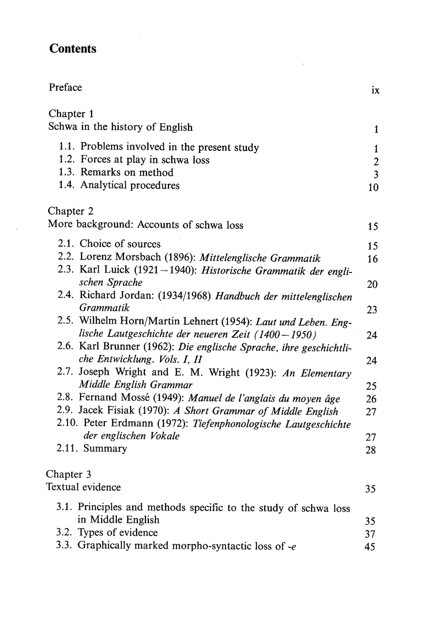## **Contents**

| Preface                                                                                                                  | ix               |
|--------------------------------------------------------------------------------------------------------------------------|------------------|
| Chapter 1                                                                                                                |                  |
| Schwa in the history of English                                                                                          | 1                |
| 1.1. Problems involved in the present study                                                                              | 1                |
| 1.2. Forces at play in schwa loss                                                                                        | $\boldsymbol{2}$ |
| 1.3. Remarks on method                                                                                                   | $\overline{3}$   |
| 1.4. Analytical procedures                                                                                               | 10               |
| Chapter 2                                                                                                                |                  |
| More background: Accounts of schwa loss                                                                                  | 15               |
| 2.1. Choice of sources                                                                                                   | 15               |
| 2.2. Lorenz Morsbach (1896): Mittelenglische Grammatik                                                                   | 16               |
| 2.3. Karl Luick (1921-1940): Historische Grammatik der engli-                                                            |                  |
| schen Sprache                                                                                                            | 20               |
| 2.4. Richard Jordan: (1934/1968) Handbuch der mittelenglischen                                                           |                  |
| Grammatik                                                                                                                | 23               |
| 2.5. Wilhelm Horn/Martin Lehnert (1954): Laut und Leben. Eng-                                                            |                  |
| lische Lautgeschichte der neueren Zeit (1400-1950)<br>2.6. Karl Brunner (1962): Die englische Sprache, ihre geschichtli- | 24               |
| che Entwicklung. Vols. I, II                                                                                             | 24               |
| 2.7. Joseph Wright and E. M. Wright (1923): An Elementary                                                                |                  |
| Middle English Grammar                                                                                                   | 25               |
| 2.8. Fernand Mossé (1949): Manuel de l'anglais du moyen âge                                                              | 26               |
| 2.9. Jacek Fisiak (1970): A Short Grammar of Middle English                                                              | 27               |
| 2.10. Peter Erdmann (1972): Tiefenphonologische Lautgeschichte                                                           |                  |
| der englischen Vokale                                                                                                    | 27               |
| 2.11. Summary                                                                                                            | 28               |
| Chapter 3                                                                                                                |                  |
| Textual evidence                                                                                                         | 35               |
| 3.1. Principles and methods specific to the study of schwa loss                                                          |                  |
| in Middle English                                                                                                        | 35               |
| 3.2. Types of evidence                                                                                                   | 37               |
| 3.3. Graphically marked morpho-syntactic loss of $-e$                                                                    | 45               |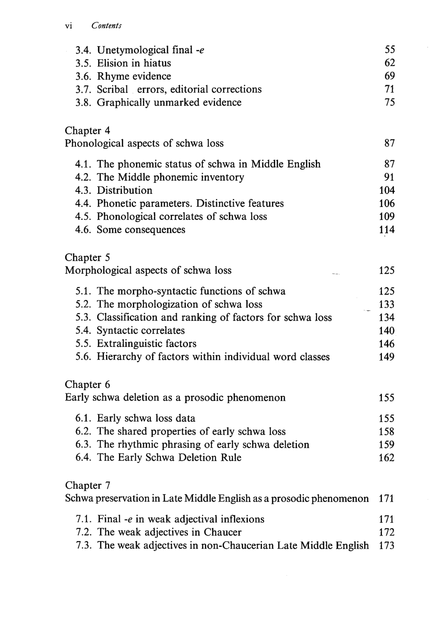## vi Contents

|           | 3.4. Unetymological final -e                                       | 55  |
|-----------|--------------------------------------------------------------------|-----|
|           | 3.5. Elision in hiatus                                             | 62  |
|           | 3.6. Rhyme evidence                                                | 69  |
|           | 3.7. Scribal errors, editorial corrections                         | 71  |
|           | 3.8. Graphically unmarked evidence                                 | 75  |
| Chapter 4 |                                                                    |     |
|           | Phonological aspects of schwa loss                                 | 87  |
|           | 4.1. The phonemic status of schwa in Middle English                | 87  |
|           | 4.2. The Middle phonemic inventory                                 | 91  |
|           | 4.3. Distribution                                                  | 104 |
|           | 4.4. Phonetic parameters. Distinctive features                     | 106 |
|           | 4.5. Phonological correlates of schwa loss                         | 109 |
|           | 4.6. Some consequences                                             | 114 |
| Chapter 5 |                                                                    |     |
|           | Morphological aspects of schwa loss                                | 125 |
|           | 5.1. The morpho-syntactic functions of schwa                       | 125 |
|           | 5.2. The morphologization of schwa loss                            | 133 |
|           | 5.3. Classification and ranking of factors for schwa loss          | 134 |
|           | 5.4. Syntactic correlates                                          | 140 |
|           | 5.5. Extralinguistic factors                                       | 146 |
|           | 5.6. Hierarchy of factors within individual word classes           | 149 |
| Chapter 6 |                                                                    |     |
|           | Early schwa deletion as a prosodic phenomenon                      | 155 |
|           | 6.1. Early schwa loss data                                         | 155 |
|           | 6.2. The shared properties of early schwa loss                     | 158 |
|           | 6.3. The rhythmic phrasing of early schwa deletion                 | 159 |
|           | 6.4. The Early Schwa Deletion Rule                                 | 162 |
| Chapter 7 |                                                                    |     |
|           | Schwa preservation in Late Middle English as a prosodic phenomenon | 171 |
|           | 7.1. Final -e in weak adjectival inflexions                        | 171 |
|           | 7.2. The weak adjectives in Chaucer                                | 172 |
|           | 7.3. The weak adjectives in non-Chaucerian Late Middle English     | 173 |